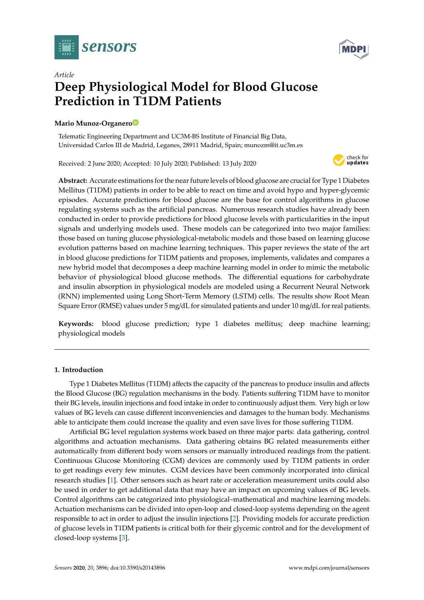



# *Article* **Deep Physiological Model for Blood Glucose Prediction in T1DM Patients**

# **Mario Munoz-Organer[o](https://orcid.org/0000-0003-4199-2002)**

Telematic Engineering Department and UC3M-BS Institute of Financial Big Data, Universidad Carlos III de Madrid, Leganes, 28911 Madrid, Spain; munozm@it.uc3m.es

Received: 2 June 2020; Accepted: 10 July 2020; Published: 13 July 2020



**Abstract:** Accurate estimations for the near future levels of blood glucose are crucial for Type 1 Diabetes Mellitus (T1DM) patients in order to be able to react on time and avoid hypo and hyper-glycemic episodes. Accurate predictions for blood glucose are the base for control algorithms in glucose regulating systems such as the artificial pancreas. Numerous research studies have already been conducted in order to provide predictions for blood glucose levels with particularities in the input signals and underlying models used. These models can be categorized into two major families: those based on tuning glucose physiological-metabolic models and those based on learning glucose evolution patterns based on machine learning techniques. This paper reviews the state of the art in blood glucose predictions for T1DM patients and proposes, implements, validates and compares a new hybrid model that decomposes a deep machine learning model in order to mimic the metabolic behavior of physiological blood glucose methods. The differential equations for carbohydrate and insulin absorption in physiological models are modeled using a Recurrent Neural Network (RNN) implemented using Long Short-Term Memory (LSTM) cells. The results show Root Mean Square Error (RMSE) values under 5 mg/dL for simulated patients and under 10 mg/dL for real patients.

**Keywords:** blood glucose prediction; type 1 diabetes mellitus; deep machine learning; physiological models

# <span id="page-0-0"></span>**1. Introduction**

Type 1 Diabetes Mellitus (T1DM) affects the capacity of the pancreas to produce insulin and affects the Blood Glucose (BG) regulation mechanisms in the body. Patients suffering T1DM have to monitor their BG levels, insulin injections and food intake in order to continuously adjust them. Very high or low values of BG levels can cause different inconveniencies and damages to the human body. Mechanisms able to anticipate them could increase the quality and even save lives for those suffering T1DM.

Artificial BG level regulation systems work based on three major parts: data gathering, control algorithms and actuation mechanisms. Data gathering obtains BG related measurements either automatically from different body worn sensors or manually introduced readings from the patient. Continuous Glucose Monitoring (CGM) devices are commonly used by T1DM patients in order to get readings every few minutes. CGM devices have been commonly incorporated into clinical research studies [\[1\]](#page-14-0). Other sensors such as heart rate or acceleration measurement units could also be used in order to get additional data that may have an impact on upcoming values of BG levels. Control algorithms can be categorized into physiological–mathematical and machine learning models. Actuation mechanisms can be divided into open-loop and closed-loop systems depending on the agent responsible to act in order to adjust the insulin injections [\[2\]](#page-14-1). Providing models for accurate prediction of glucose levels in T1DM patients is critical both for their glycemic control and for the development of closed-loop systems [\[3\]](#page-14-2).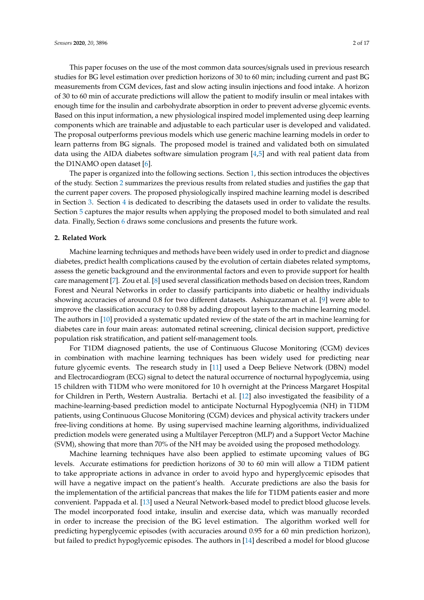This paper focuses on the use of the most common data sources/signals used in previous research studies for BG level estimation over prediction horizons of 30 to 60 min; including current and past BG measurements from CGM devices, fast and slow acting insulin injections and food intake. A horizon of 30 to 60 min of accurate predictions will allow the patient to modify insulin or meal intakes with enough time for the insulin and carbohydrate absorption in order to prevent adverse glycemic events. Based on this input information, a new physiological inspired model implemented using deep learning components which are trainable and adjustable to each particular user is developed and validated. The proposal outperforms previous models which use generic machine learning models in order to learn patterns from BG signals. The proposed model is trained and validated both on simulated data using the AIDA diabetes software simulation program [\[4](#page-14-3)[,5\]](#page-14-4) and with real patient data from the D1NAMO open dataset [\[6\]](#page-14-5).

The paper is organized into the following sections. Section [1,](#page-0-0) this section introduces the objectives of the study. Section [2](#page-1-0) summarizes the previous results from related studies and justifies the gap that the current paper covers. The proposed physiologically inspired machine learning model is described in Section [3.](#page-3-0) Section [4](#page-5-0) is dedicated to describing the datasets used in order to validate the results. Section [5](#page-5-1) captures the major results when applying the proposed model to both simulated and real data. Finally, Section [6](#page-13-0) draws some conclusions and presents the future work.

# <span id="page-1-0"></span>**2. Related Work**

Machine learning techniques and methods have been widely used in order to predict and diagnose diabetes, predict health complications caused by the evolution of certain diabetes related symptoms, assess the genetic background and the environmental factors and even to provide support for health care management [\[7\]](#page-14-6). Zou et al. [\[8\]](#page-14-7) used several classification methods based on decision trees, Random Forest and Neural Networks in order to classify participants into diabetic or healthy individuals showing accuracies of around 0.8 for two different datasets. Ashiquzzaman et al. [\[9\]](#page-14-8) were able to improve the classification accuracy to 0.88 by adding dropout layers to the machine learning model. The authors in [\[10\]](#page-14-9) provided a systematic updated review of the state of the art in machine learning for diabetes care in four main areas: automated retinal screening, clinical decision support, predictive population risk stratification, and patient self-management tools.

For T1DM diagnosed patients, the use of Continuous Glucose Monitoring (CGM) devices in combination with machine learning techniques has been widely used for predicting near future glycemic events. The research study in [\[11\]](#page-14-10) used a Deep Believe Network (DBN) model and Electrocardiogram (ECG) signal to detect the natural occurrence of nocturnal hypoglycemia, using 15 children with T1DM who were monitored for 10 h overnight at the Princess Margaret Hospital for Children in Perth, Western Australia. Bertachi et al. [\[12\]](#page-14-11) also investigated the feasibility of a machine-learning-based prediction model to anticipate Nocturnal Hypoglycemia (NH) in T1DM patients, using Continuous Glucose Monitoring (CGM) devices and physical activity trackers under free-living conditions at home. By using supervised machine learning algorithms, individualized prediction models were generated using a Multilayer Perceptron (MLP) and a Support Vector Machine (SVM), showing that more than 70% of the NH may be avoided using the proposed methodology.

Machine learning techniques have also been applied to estimate upcoming values of BG levels. Accurate estimations for prediction horizons of 30 to 60 min will allow a T1DM patient to take appropriate actions in advance in order to avoid hypo and hyperglycemic episodes that will have a negative impact on the patient's health. Accurate predictions are also the basis for the implementation of the artificial pancreas that makes the life for T1DM patients easier and more convenient. Pappada et al. [\[13\]](#page-15-0) used a Neural Network-based model to predict blood glucose levels. The model incorporated food intake, insulin and exercise data, which was manually recorded in order to increase the precision of the BG level estimation. The algorithm worked well for predicting hyperglycemic episodes (with accuracies around 0.95 for a 60 min prediction horizon), but failed to predict hypoglycemic episodes. The authors in [\[14\]](#page-15-1) described a model for blood glucose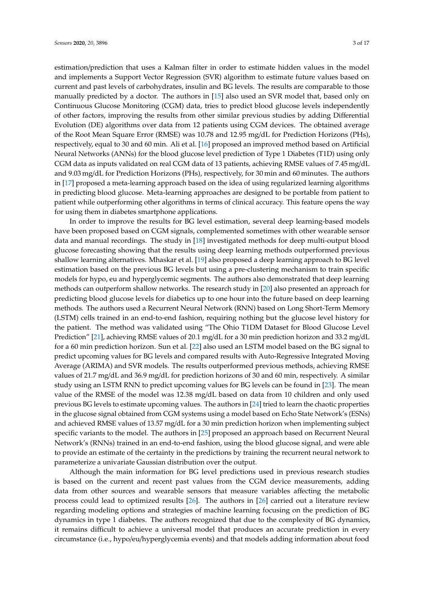estimation/prediction that uses a Kalman filter in order to estimate hidden values in the model and implements a Support Vector Regression (SVR) algorithm to estimate future values based on current and past levels of carbohydrates, insulin and BG levels. The results are comparable to those manually predicted by a doctor. The authors in [\[15\]](#page-15-2) also used an SVR model that, based only on Continuous Glucose Monitoring (CGM) data, tries to predict blood glucose levels independently of other factors, improving the results from other similar previous studies by adding Differential Evolution (DE) algorithms over data from 12 patients using CGM devices. The obtained average of the Root Mean Square Error (RMSE) was 10.78 and 12.95 mg/dL for Prediction Horizons (PHs), respectively, equal to 30 and 60 min. Ali et al. [\[16\]](#page-15-3) proposed an improved method based on Artificial Neural Networks (ANNs) for the blood glucose level prediction of Type 1 Diabetes (T1D) using only CGM data as inputs validated on real CGM data of 13 patients, achieving RMSE values of 7.45 mg/dL and 9.03 mg/dL for Prediction Horizons (PHs), respectively, for 30 min and 60 minutes. The authors in [\[17\]](#page-15-4) proposed a meta-learning approach based on the idea of using regularized learning algorithms in predicting blood glucose. Meta-learning approaches are designed to be portable from patient to patient while outperforming other algorithms in terms of clinical accuracy. This feature opens the way for using them in diabetes smartphone applications.

In order to improve the results for BG level estimation, several deep learning-based models have been proposed based on CGM signals, complemented sometimes with other wearable sensor data and manual recordings. The study in [\[18\]](#page-15-5) investigated methods for deep multi-output blood glucose forecasting showing that the results using deep learning methods outperformed previous shallow learning alternatives. Mhaskar et al. [\[19\]](#page-15-6) also proposed a deep learning approach to BG level estimation based on the previous BG levels but using a pre-clustering mechanism to train specific models for hypo, eu and hyperglycemic segments. The authors also demonstrated that deep learning methods can outperform shallow networks. The research study in [\[20\]](#page-15-7) also presented an approach for predicting blood glucose levels for diabetics up to one hour into the future based on deep learning methods. The authors used a Recurrent Neural Network (RNN) based on Long Short-Term Memory (LSTM) cells trained in an end-to-end fashion, requiring nothing but the glucose level history for the patient. The method was validated using "The Ohio T1DM Dataset for Blood Glucose Level Prediction" [\[21\]](#page-15-8), achieving RMSE values of 20.1 mg/dL for a 30 min prediction horizon and 33.2 mg/dL for a 60 min prediction horizon. Sun et al. [\[22\]](#page-15-9) also used an LSTM model based on the BG signal to predict upcoming values for BG levels and compared results with Auto-Regressive Integrated Moving Average (ARIMA) and SVR models. The results outperformed previous methods, achieving RMSE values of 21.7 mg/dL and 36.9 mg/dL for prediction horizons of 30 and 60 min, respectively. A similar study using an LSTM RNN to predict upcoming values for BG levels can be found in [\[23\]](#page-15-10). The mean value of the RMSE of the model was 12.38 mg/dL based on data from 10 children and only used previous BG levels to estimate upcoming values. The authors in [\[24\]](#page-15-11) tried to learn the chaotic properties in the glucose signal obtained from CGM systems using a model based on Echo State Network's (ESNs) and achieved RMSE values of 13.57 mg/dL for a 30 min prediction horizon when implementing subject specific variants to the model. The authors in [\[25\]](#page-15-12) proposed an approach based on Recurrent Neural Network's (RNNs) trained in an end-to-end fashion, using the blood glucose signal, and were able to provide an estimate of the certainty in the predictions by training the recurrent neural network to parameterize a univariate Gaussian distribution over the output.

Although the main information for BG level predictions used in previous research studies is based on the current and recent past values from the CGM device measurements, adding data from other sources and wearable sensors that measure variables affecting the metabolic process could lead to optimized results [\[26\]](#page-15-13). The authors in [\[26\]](#page-15-13) carried out a literature review regarding modeling options and strategies of machine learning focusing on the prediction of BG dynamics in type 1 diabetes. The authors recognized that due to the complexity of BG dynamics, it remains difficult to achieve a universal model that produces an accurate prediction in every circumstance (i.e., hypo/eu/hyperglycemia events) and that models adding information about food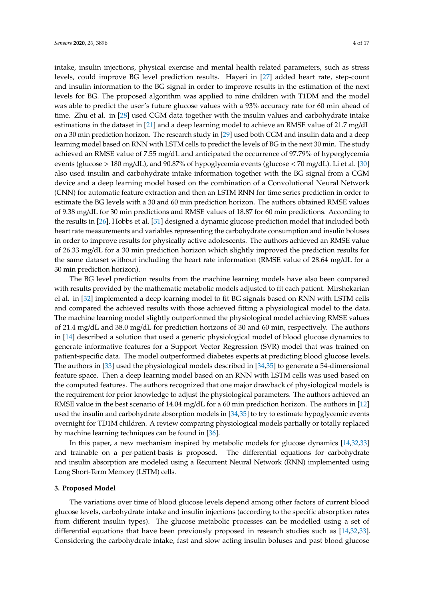intake, insulin injections, physical exercise and mental health related parameters, such as stress levels, could improve BG level prediction results. Hayeri in [\[27\]](#page-15-14) added heart rate, step-count and insulin information to the BG signal in order to improve results in the estimation of the next levels for BG. The proposed algorithm was applied to nine children with T1DM and the model was able to predict the user's future glucose values with a 93% accuracy rate for 60 min ahead of time. Zhu et al. in [\[28\]](#page-15-15) used CGM data together with the insulin values and carbohydrate intake estimations in the dataset in [\[21\]](#page-15-8) and a deep learning model to achieve an RMSE value of 21.7 mg/dL on a 30 min prediction horizon. The research study in [\[29\]](#page-15-16) used both CGM and insulin data and a deep learning model based on RNN with LSTM cells to predict the levels of BG in the next 30 min. The study achieved an RMSE value of 7.55 mg/dL and anticipated the occurrence of 97.79% of hyperglycemia events (glucose > 180 mg/dL), and 90.87% of hypoglycemia events (glucose < 70 mg/dL). Li et al. [\[30\]](#page-15-17) also used insulin and carbohydrate intake information together with the BG signal from a CGM device and a deep learning model based on the combination of a Convolutional Neural Network (CNN) for automatic feature extraction and then an LSTM RNN for time series prediction in order to estimate the BG levels with a 30 and 60 min prediction horizon. The authors obtained RMSE values of 9.38 mg/dL for 30 min predictions and RMSE values of 18.87 for 60 min predictions. According to the results in [\[26\]](#page-15-13), Hobbs et al. [\[31\]](#page-15-18) designed a dynamic glucose prediction model that included both heart rate measurements and variables representing the carbohydrate consumption and insulin boluses in order to improve results for physically active adolescents. The authors achieved an RMSE value of 26.33 mg/dL for a 30 min prediction horizon which slightly improved the prediction results for the same dataset without including the heart rate information (RMSE value of 28.64 mg/dL for a 30 min prediction horizon).

The BG level prediction results from the machine learning models have also been compared with results provided by the mathematic metabolic models adjusted to fit each patient. Mirshekarian el al. in [\[32\]](#page-15-19) implemented a deep learning model to fit BG signals based on RNN with LSTM cells and compared the achieved results with those achieved fitting a physiological model to the data. The machine learning model slightly outperformed the physiological model achieving RMSE values of 21.4 mg/dL and 38.0 mg/dL for prediction horizons of 30 and 60 min, respectively. The authors in [\[14\]](#page-15-1) described a solution that used a generic physiological model of blood glucose dynamics to generate informative features for a Support Vector Regression (SVR) model that was trained on patient-specific data. The model outperformed diabetes experts at predicting blood glucose levels. The authors in [\[33\]](#page-16-0) used the physiological models described in [\[34,](#page-16-1)[35\]](#page-16-2) to generate a 54-dimensional feature space. Then a deep learning model based on an RNN with LSTM cells was used based on the computed features. The authors recognized that one major drawback of physiological models is the requirement for prior knowledge to adjust the physiological parameters. The authors achieved an RMSE value in the best scenario of 14.04 mg/dL for a 60 min prediction horizon. The authors in [\[12\]](#page-14-11) used the insulin and carbohydrate absorption models in [\[34](#page-16-1)[,35\]](#page-16-2) to try to estimate hypoglycemic events overnight for TD1M children. A review comparing physiological models partially or totally replaced by machine learning techniques can be found in [\[36\]](#page-16-3).

In this paper, a new mechanism inspired by metabolic models for glucose dynamics [\[14](#page-15-1)[,32](#page-15-19)[,33\]](#page-16-0) and trainable on a per-patient-basis is proposed. The differential equations for carbohydrate and insulin absorption are modeled using a Recurrent Neural Network (RNN) implemented using Long Short-Term Memory (LSTM) cells.

# <span id="page-3-0"></span>**3. Proposed Model**

The variations over time of blood glucose levels depend among other factors of current blood glucose levels, carbohydrate intake and insulin injections (according to the specific absorption rates from different insulin types). The glucose metabolic processes can be modelled using a set of differential equations that have been previously proposed in research studies such as [\[14,](#page-15-1)[32,](#page-15-19)[33\]](#page-16-0). Considering the carbohydrate intake, fast and slow acting insulin boluses and past blood glucose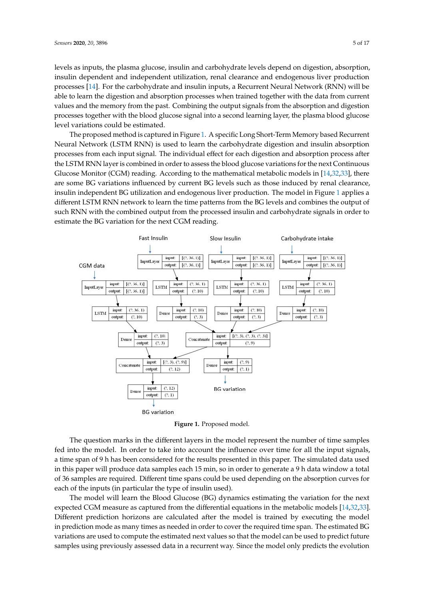levels as inputs, the plasma glucose, insulin and carbohydrate levels depend on digestion, absorption, insulin dependent and independent utilization, renal clearance and endogenous liver production processes [\[14\]](#page-15-1). For the carbohydrate and insulin inputs, a Recurrent Neural Network (RNN) will be able to learn the digestion and absorption processes when trained together with the data from current values and the memory from the past. Combining the output signals from the absorption and digestion processes together with the blood glucose signal into a second learning layer, the plasma blood glucose<br>. level variations could be estimated.<br>External variations could be estimated.

The proposed method is captured in Figure [1.](#page-4-0) A specific Long Short-Term Memory based Recurrent The proposed method is captured in Figure 1. A specific Long Short-Term Memory based Neural Network (LSTM RNN) is used to learn the carbohydrate digestion and insulin absorption processes from each input signal. The individual effect for each digestion and absorption process after the LSTM RNN layer is combined in order to assess the blood glucose variations for the next Continuous Glucose Monitor (CGM) reading. According to the mathematical metabolic models in [\[14,](#page-15-1)[32,](#page-15-19)[33\]](#page-16-0), there are some BG variations influenced by current BG levels such as those induced by renal clearance, insulin independent BG utilization and endogenous liver production. The [mo](#page-4-0)del in Figure 1 applies a different LSTM RNN network to learn the time patterns from the BG levels and combines the output of such RNN with the combined output from the processed insulin and carbohydrate signals in order to estimate the BG variation for the next CGM reading.

<span id="page-4-0"></span>

**Figure 1.** Proposed model. **Figure 1.** Proposed model.

The question marks in the different layers in the model represent the number of time samples The question marks in the different layers in the model represent the number of time samples fed into the model. In order to take into account the influence over time for all the input signals,  $\alpha$ time span of 9 h has been considered for the results presented in this paper. The simulated data used a time span of 9 h has been considered for the results presented in this paper. The simulated data used in this paper will produce data samples each 15 min, so in order to generate a 9 h data window a total in this paper will produce data samples each 15 min, so in order to generate a 9 h data window a total of 36 samples are required. Different time spans could be used depending on the absorption curves of 36 samples are required. Different time spans could be used depending on the absorption curves for each of the inputs (in particular the type of insulin used).

The model will learn the Blood Glucose (BG) dynamics estimating the variation for the next The model will learn the Blood Glucose (BG) dynamics estimating the variation for the next expected CGM measure as captured from the differential equations in the metabolic models [1[4,32](#page-15-1)[,33](#page-15-19)]. expected CGM measure as captured from the differential equations in the metabolic models [14,32[,33\]](#page-16-0). Different prediction horizons are calculated after the model is trained by executing the model in prediction mode as many times as needed in order to cover the required time span. The estimated BG variations are used to compute the estimated next values so that the model can be used to predict future samples using previously assessed data in a recurrent way. Since the model only predicts the evolution  $\mathbf{r}$  of the input values for the insulin and food intervalues for the intervalues for  $\mathbf{r}$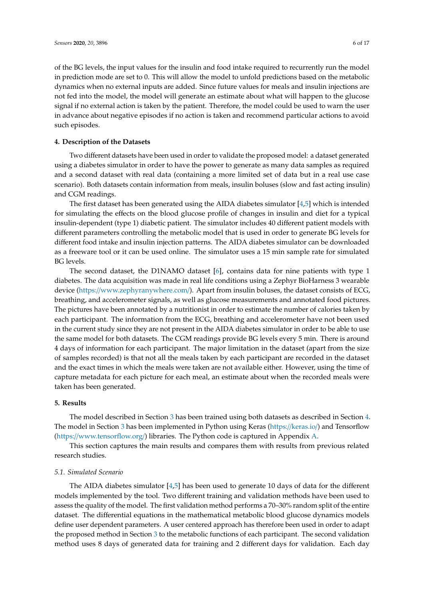of the BG levels, the input values for the insulin and food intake required to recurrently run the model in prediction mode are set to 0. This will allow the model to unfold predictions based on the metabolic dynamics when no external inputs are added. Since future values for meals and insulin injections are not fed into the model, the model will generate an estimate about what will happen to the glucose signal if no external action is taken by the patient. Therefore, the model could be used to warn the user in advance about negative episodes if no action is taken and recommend particular actions to avoid such episodes.

### <span id="page-5-0"></span>**4. Description of the Datasets**

Two different datasets have been used in order to validate the proposed model: a dataset generated using a diabetes simulator in order to have the power to generate as many data samples as required and a second dataset with real data (containing a more limited set of data but in a real use case scenario). Both datasets contain information from meals, insulin boluses (slow and fast acting insulin) and CGM readings.

The first dataset has been generated using the AIDA diabetes simulator [\[4](#page-14-3)[,5\]](#page-14-4) which is intended for simulating the effects on the blood glucose profile of changes in insulin and diet for a typical insulin-dependent (type 1) diabetic patient. The simulator includes 40 different patient models with different parameters controlling the metabolic model that is used in order to generate BG levels for different food intake and insulin injection patterns. The AIDA diabetes simulator can be downloaded as a freeware tool or it can be used online. The simulator uses a 15 min sample rate for simulated BG levels.

The second dataset, the D1NAMO dataset [\[6\]](#page-14-5), contains data for nine patients with type 1 diabetes. The data acquisition was made in real life conditions using a Zephyr BioHarness 3 wearable device (https://[www.zephyranywhere.com](https://www.zephyranywhere.com/)/). Apart from insulin boluses, the dataset consists of ECG, breathing, and accelerometer signals, as well as glucose measurements and annotated food pictures. The pictures have been annotated by a nutritionist in order to estimate the number of calories taken by each participant. The information from the ECG, breathing and accelerometer have not been used in the current study since they are not present in the AIDA diabetes simulator in order to be able to use the same model for both datasets. The CGM readings provide BG levels every 5 min. There is around 4 days of information for each participant. The major limitation in the dataset (apart from the size of samples recorded) is that not all the meals taken by each participant are recorded in the dataset and the exact times in which the meals were taken are not available either. However, using the time of capture metadata for each picture for each meal, an estimate about when the recorded meals were taken has been generated.

#### <span id="page-5-1"></span>**5. Results**

The model described in Section [3](#page-3-0) has been trained using both datasets as described in Section [4.](#page-5-0) The model in Section [3](#page-3-0) has been implemented in Python using Keras (https://[keras.io](https://keras.io/)/) and Tensorflow (https://[www.tensorflow.org](https://www.tensorflow.org/)/) libraries. The Python code is captured in Appendix [A.](#page-13-1)

This section captures the main results and compares them with results from previous related research studies.

#### *5.1. Simulated Scenario*

The AIDA diabetes simulator  $[4,5]$  $[4,5]$  has been used to generate 10 days of data for the different models implemented by the tool. Two different training and validation methods have been used to assess the quality of the model. The first validation method performs a 70–30% random split of the entire dataset. The differential equations in the mathematical metabolic blood glucose dynamics models define user dependent parameters. A user centered approach has therefore been used in order to adapt the proposed method in Section [3](#page-3-0) to the metabolic functions of each participant. The second validation method uses 8 days of generated data for training and 2 different days for validation. Each day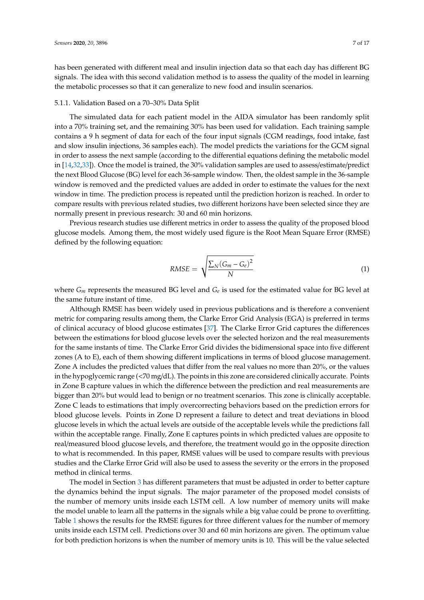has been generated with different meal and insulin injection data so that each day has different BG signals. The idea with this second validation method is to assess the quality of the model in learning the metabolic processes so that it can generalize to new food and insulin scenarios.

#### 5.1.1. Validation Based on a 70–30% Data Split

The simulated data for each patient model in the AIDA simulator has been randomly split into a 70% training set, and the remaining 30% has been used for validation. Each training sample contains a 9 h segment of data for each of the four input signals (CGM readings, food intake, fast and slow insulin injections, 36 samples each). The model predicts the variations for the GCM signal in order to assess the next sample (according to the differential equations defining the metabolic model in [\[14](#page-15-1)[,32](#page-15-19)[,33\]](#page-16-0)). Once the model is trained, the 30% validation samples are used to assess/estimate/predict the next Blood Glucose (BG) level for each 36-sample window. Then, the oldest sample in the 36-sample window is removed and the predicted values are added in order to estimate the values for the next window in time. The prediction process is repeated until the prediction horizon is reached. In order to compare results with previous related studies, two different horizons have been selected since they are normally present in previous research: 30 and 60 min horizons.

Previous research studies use different metrics in order to assess the quality of the proposed blood glucose models. Among them, the most widely used figure is the Root Mean Square Error (RMSE) defined by the following equation:

$$
RMSE = \sqrt{\frac{\sum_{N} (G_m - G_e)^2}{N}}
$$
 (1)

where *G<sup>m</sup>* represents the measured BG level and *G<sup>e</sup>* is used for the estimated value for BG level at the same future instant of time.

Although RMSE has been widely used in previous publications and is therefore a convenient metric for comparing results among them, the Clarke Error Grid Analysis (EGA) is preferred in terms of clinical accuracy of blood glucose estimates [\[37\]](#page-16-4). The Clarke Error Grid captures the differences between the estimations for blood glucose levels over the selected horizon and the real measurements for the same instants of time. The Clarke Error Grid divides the bidimensional space into five different zones (A to E), each of them showing different implications in terms of blood glucose management. Zone A includes the predicted values that differ from the real values no more than 20%, or the values in the hypoglycemic range (<70 mg/dL). The points in this zone are considered clinically accurate. Points in Zone B capture values in which the difference between the prediction and real measurements are bigger than 20% but would lead to benign or no treatment scenarios. This zone is clinically acceptable. Zone C leads to estimations that imply overcorrecting behaviors based on the prediction errors for blood glucose levels. Points in Zone D represent a failure to detect and treat deviations in blood glucose levels in which the actual levels are outside of the acceptable levels while the predictions fall within the acceptable range. Finally, Zone E captures points in which predicted values are opposite to real/measured blood glucose levels, and therefore, the treatment would go in the opposite direction to what is recommended. In this paper, RMSE values will be used to compare results with previous studies and the Clarke Error Grid will also be used to assess the severity or the errors in the proposed method in clinical terms.

The model in Section [3](#page-3-0) has different parameters that must be adjusted in order to better capture the dynamics behind the input signals. The major parameter of the proposed model consists of the number of memory units inside each LSTM cell. A low number of memory units will make the model unable to learn all the patterns in the signals while a big value could be prone to overfitting. Table [1](#page-7-0) shows the results for the RMSE figures for three different values for the number of memory units inside each LSTM cell. Predictions over 30 and 60 min horizons are given. The optimum value for both prediction horizons is when the number of memory units is 10. This will be the value selected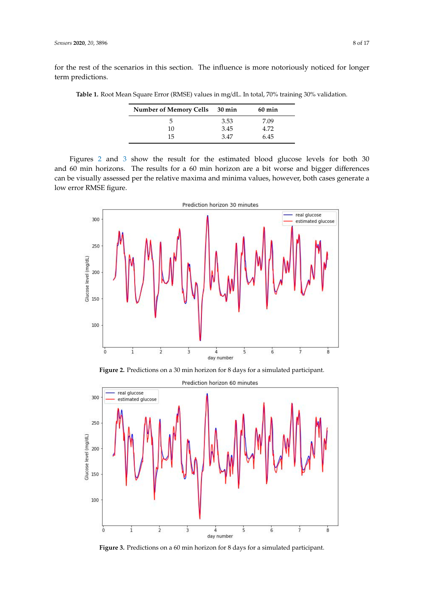<span id="page-7-0"></span>for the rest of the scenarios in this section. The influence is more notoriously noticed for longer term predictions.

| Table 1. Root Mean Square Error (RMSE) values in mg/dL. In total, 70% training 30% validation. |  |  |  |  |  |
|------------------------------------------------------------------------------------------------|--|--|--|--|--|
|                                                                                                |  |  |  |  |  |

| Number of Memory Cells 30 min |      | $60 \text{ min}$ |
|-------------------------------|------|------------------|
| h                             | 3.53 | 7.09             |
| 10                            | 3.45 | 4.72             |
| 15                            | 3.47 | 6.45             |

Figures [2](#page-7-1) and [3](#page-7-2) show the result for the estimated blood glucose levels for both 30 and  $60$  min horizons. The results for a  $60$  min horizon are a bit worse and bigger differences can be visually assessed per the relative maxima and minima values, however, both cases generate a low error RMSE figure. figure. assessed per the relative maxima and minima values, however, both cases generate a low error RMSE

<span id="page-7-1"></span>

Figure 2. Predictions on a 30 min horizon for 8 days for a simulated participant.

<span id="page-7-2"></span>

**Figure 3.** Predictions on a 60 min horizon for 8 days for a simulated participant. **Figure 3.** Predictions on a 60 min horizon for 8 days for a simulated participant.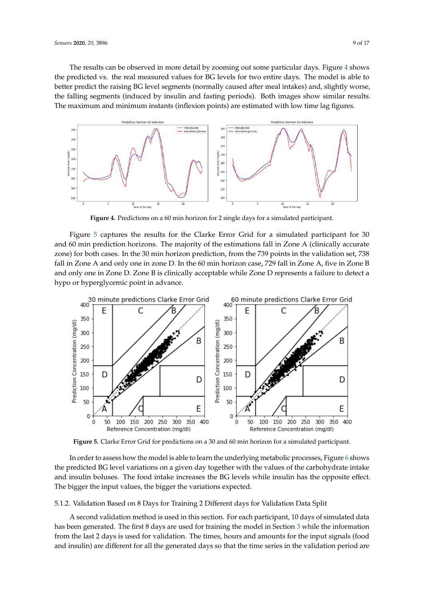The results can be observed in more detail by zooming out some particular days. Figure 4 shows The results can be observed in more detail by zooming out some particular days. Figure [4](#page-8-0) shows the predicted vs. the real measured values for BG levels for two entire days. The model is able to the predicted vs. the real measured values for BG levels for two entire days. The model is able to better predict the raising BG level segments (normally caused after meal intakes) and, slightly worse, better predict the raising BG level segments (normally caused after meal intakes) and, slightly worse, the falling segments (induced by insulin and fasting periods). Both images show similar results. The maximum and minimum instants (inflexion points) are estimated with low time lag figures. maximum and minimum instants (inflexion points) are estimated with low time lag figures.

<span id="page-8-0"></span>

**Figure 4.** Predictions on a 60 min horizon for 2 single days for a simulated participant. **Figure 4.** Predictions on a 60 min horizon for 2 single days for a simulated participant.

Figure  $5$  captures the results for the Clarke Error Grid for a simulated participant for  $30$ and 60 min prediction horizons. The majority of the estimations fall in Zone A (clinically accurate zone) for both cases. In the 30 min horizon prediction, from the 739 points in the validation set, 738 fall in Zone A and only one in zone D. In the 60 min horizon case, 729 fall in Zone A, five in Zone B and only one in Zone D. Zone B is clinically acceptable while Zone D represents a failure to detect a hypo or hyperglycemic point in advance.

<span id="page-8-1"></span>

**Figure 5.** Clarke Error Grid for predictions on a 30 and 60 min horizon for a simulated participant. **Figure 5.** Clarke Error Grid for predictions on a 30 and 60 min horizon for a simulated participant.

In order to assess how the model is able to learn the underlying metabolic processes, Figure 6 the predicted BG level variations on a given day together with the values of the carbohydrate intake she predicted BG level variations on a given day to gether with the values of the carbohydrate make and insulin boluses. The food intake increases the BG levels while insulin has the opposite effect.<br>The literal intervals which is the food in the food in the food in the food in the manner of the food in the m The bigger the input values, the bigger the variations expected. In order to assess how the model is able to learn the underlying metabolic processes, Figure [6](#page-9-0) shows

5.1.2. Validation Based on 8 Days for Training 2 Different days for Validation Data Split

A second validation method is used in this section. For each participant, 10 days of simulated data has been generated. The first 8 days are used for training the model in Section [3](#page-3-0) while the information from the last 2 days is used for validation. The times, hours and amounts for the input signals (food and insulin) are different for all the generated days so that the time series in the validation period are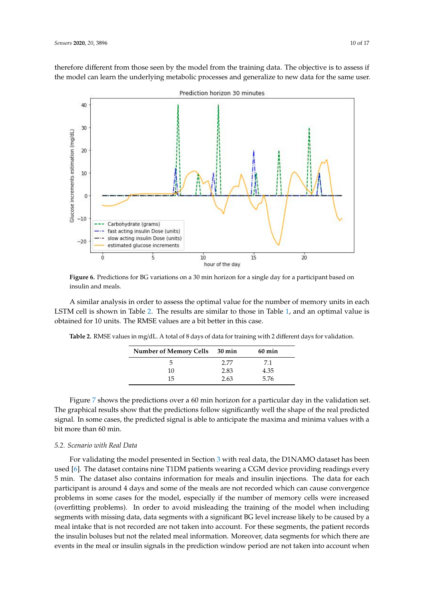therefore different from those seen by the model from the training data. The objective is to assess if the model can learn the underlying metabolic processes and generalize to new data for the same user.

<span id="page-9-0"></span>

**Figure 6.** Predictions for BG variations on a 30 min horizon for a single day for a participant based on **Figure 6.** Predictions for BG variations on a 30 min horizon for a single day for a participant based on insulin and meals. insulin and meals.

A similar analysis in order to assess the optimal value for the number of memory units in each obtained for 10 units. The RMSE values are a bit better in this case. data for to differ the first 8 days are used for the model in Section 3 which is the model in Section 3 which is the model in Section 3 which is the model in Section 3 which is the model in Section 3 which is the model in LSTM cell is shown in Table [2.](#page-9-1) The results are similar to those in Table [1,](#page-7-0) and an optimal value is

<span id="page-9-1"></span>

|  | Table 2. RMSE values in mg/dL. A total of 8 days of data for training with 2 different days for validation. |
|--|-------------------------------------------------------------------------------------------------------------|
|  |                                                                                                             |

| Number of Memory Cells 30 min |      | $60 \text{ min}$ |
|-------------------------------|------|------------------|
| .5                            | 2.77 |                  |
| 10                            | 2.83 | 4.35             |
| 15                            | 2.63 | 5.76             |

Figure [7](#page-10-0) shows the predictions over a 60 min horizon for a particular day in the validation set. The graphical results show that the predictions follow significantly well the shape of the real predicted signal. In some cases, the predicted signal is able to anticipate the maxima and minima values with a bit more than 60 min.

# *5.2. Scenario with Real Data*

For validating the model presented in Section [3](#page-3-0) with real data, the D1NAMO dataset has been used [\[6\]](#page-14-5). The dataset contains nine T1DM patients wearing a CGM device providing readings every 5 min. The dataset also contains information for meals and insulin injections. The data for each participant is around 4 days and some of the meals are not recorded which can cause convergence problems in some cases for the model, especially if the number of memory cells were increased (overfitting problems). In order to avoid misleading the training of the model when including segments with missing data, data segments with a significant BG level increase likely to be caused by a meal intake that is not recorded are not taken into account. For these segments, the patient records the insulin boluses but not the related meal information. Moreover, data segments for which there are events in the meal or insulin signals in the prediction window period are not taken into account when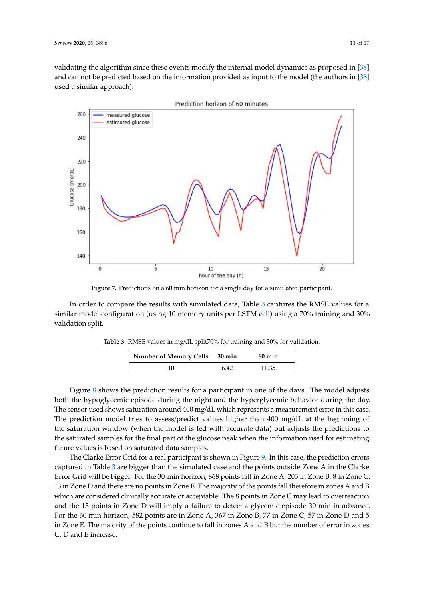validating the algorithm since these events modify the internal model dynamics as proposed in [\[38\]](#page-16-5)  $\,$ and can not be predicted based on the information provided as input to the model (the authors in [\[38\]](#page-16-5) used a similar approach).

<span id="page-10-0"></span>

**Figure 7.** Predictions on a 60 min horizon for a single day for a simulated participant. **Figure 7.** Predictions on a 60 min horizon for a single day for a simulated participant.

*5.2. Scenario with Real Data*  In order to compare the results with simulated data, Table [3](#page-10-1) captures the RMSE values for a similar model configuration (using 10 memory units per LSTM cell) using a 70% training and 30%<br>---lidation culit  $\mathbb{R}$ . The dataset contains nine T<sub>1</sub> validation split.

<span id="page-10-1"></span>

| Table 3. RMSE values in mg/dL split70% for training and 30% for validation. |
|-----------------------------------------------------------------------------|
|-----------------------------------------------------------------------------|

| Number of Memory Cells 30 min |     | $60 \text{ min}$ |
|-------------------------------|-----|------------------|
|                               | 642 | 11.35            |

Figure 8 shows the prediction results for a participant in one of the days. The model adjusts both the hypoglycemic episode during the night and the hyperglycemic behavior during the day. The sensor used shows saturation around 400 mg/dL which represents a measurement error in this case. The prediction model tries to assess/predict values higher than 400 mg/dL at the beginning of the saturation window (when the model is fed with accurate data) but adjusts the predictions to the saturated samples for the final part of the glucose peak when the information used for estimating future values is based on saturated data samples.

The Clarke Error Grid for a real participant is shown in Figure [9.](#page-11-1) In this case, the prediction errors captured in Table [3](#page-10-1) are bigger than the simulated case and the points outside Zone A in the Clarke Error Grid will be bigger. For the 30-min horizon, 868 points fall in Zone A, 205 in Zone B, 8 in Zone C, 13 in Zone D and there are no points in Zone E. The majority of the points fall therefore in zones A and B which are considered clinically accurate or acceptable. The 8 points in Zone C may lead to overreaction and the 13 points in Zone D will imply a failure to detect a glycemic episode 30 min in advance. For the 60 min horizon, 582 points are in Zone A, 367 in Zone B, 77 in Zone C, 57 in Zone D and 5 in Zone E. The majority of the points continue to fall in zones A and B but the number of error in zones C, D and E increase.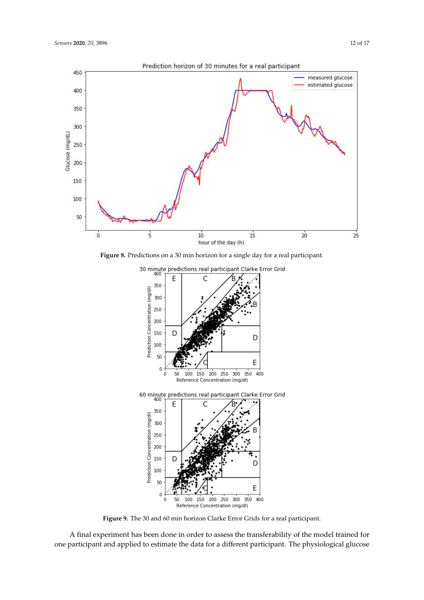<span id="page-11-0"></span>

<span id="page-11-1"></span>

**Figure 9.** The 30 and 60 min horizon Clarke Error Grids for a real participant. **Figure 9.** The 30 and 60 min horizon Clarke Error Grids for a real participant.

 $\alpha$  final experiment has been done in order to assess the trained for assess the model transferability of the model trained for  $\alpha$ one participant and applied to estimate the data for a different participant. The physiological glucose one participant and applied to estimate the data for a different participant. The physiological glucoseA final experiment has been done in order to assess the transferability of the model trained for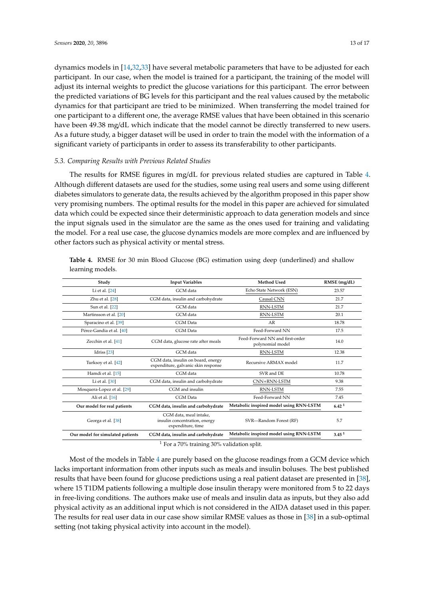dynamics models in [\[14,](#page-15-1)[32,](#page-15-19)[33\]](#page-16-0) have several metabolic parameters that have to be adjusted for each participant. In our case, when the model is trained for a participant, the training of the model will adjust its internal weights to predict the glucose variations for this participant. The error between the predicted variations of BG levels for this participant and the real values caused by the metabolic dynamics for that participant are tried to be minimized. When transferring the model trained for one participant to a different one, the average RMSE values that have been obtained in this scenario have been 49.38 mg/dL which indicate that the model cannot be directly transferred to new users. As a future study, a bigger dataset will be used in order to train the model with the information of a significant variety of participants in order to assess its transferability to other participants.

# *5.3. Comparing Results with Previous Related Studies*

The results for RMSE figures in mg/dL for previous related studies are captured in Table [4.](#page-12-0) Although different datasets are used for the studies, some using real users and some using different diabetes simulators to generate data, the results achieved by the algorithm proposed in this paper show very promising numbers. The optimal results for the model in this paper are achieved for simulated data which could be expected since their deterministic approach to data generation models and since the input signals used in the simulator are the same as the ones used for training and validating the model. For a real use case, the glucose dynamics models are more complex and are influenced by other factors such as physical activity or mental stress.

| Study                                                             | <b>Input Variables</b>                                                       | Method Used                                         | RMSE (mg/dL)      |
|-------------------------------------------------------------------|------------------------------------------------------------------------------|-----------------------------------------------------|-------------------|
| Li et al. [24]                                                    | GCM data                                                                     | Echo State Network (ESN)                            | 23.57             |
| Zhu et al. [28]                                                   | CGM data, insulin and carbohydrate                                           | Causal CNN                                          | 21.7              |
| Sun et al. [22]                                                   | GCM data                                                                     | <b>RNN-LSTM</b>                                     | 21.7              |
| Martinsson et al. [20]                                            | GCM data                                                                     | <b>RNN-LSTM</b>                                     | 20.1              |
| Sparacino et al. [39]                                             | CGM Data                                                                     | AR                                                  | 18.78             |
| Pérez-Gandia et al. [40]                                          | CGM Data                                                                     | Feed-Forward NN                                     | 17.5              |
| Zecchin et al. [41]                                               | CGM data, glucose rate after meals                                           | Feed-Forward NN and first-order<br>polynomial model | 14.0              |
| Idriss <sup>[23]</sup>                                            | GCM data                                                                     | <b>RNN-LSTM</b>                                     | 12.38             |
| Turksoy et al. [42]                                               | CGM data, insulin on board, energy<br>expenditure, galvanic skin response    | Recursive ARMAX model                               | 11.7              |
| Hamdi et al. [15]                                                 | CGM data                                                                     | SVR and DE                                          | 10.78             |
| Li et al. $[30]$                                                  | CGM data, insulin and carbohydrate                                           | CNN+RNN-LSTM                                        | 9.38              |
| Mosquera-Lopez et al. [29]                                        | CGM and insulin                                                              | <b>RNN-LSTM</b>                                     | 7.55              |
| Ali et al. [16]                                                   | <b>CGM</b> Data                                                              | Feed-Forward NN                                     | 7.45              |
| Our model for real patients<br>CGM data, insulin and carbohydrate |                                                                              | Metabolic inspired model using RNN-LSTM             | 6.42 <sup>1</sup> |
| Georga et al. [38]                                                | CGM data, meal intake,<br>insulin concentration, energy<br>expenditure, time | SVR-Random Forest (RF)                              | 5.7               |
| Our model for simulated patients                                  | CGM data, insulin and carbohydrate                                           | Metabolic inspired model using RNN-LSTM             | 3.45 <sup>1</sup> |

<span id="page-12-0"></span>**Table 4.** RMSE for 30 min Blood Glucose (BG) estimation using deep (underlined) and shallow learning models.

<sup>1</sup> For a 70% training 30% validation split.

Most of the models in Table [4](#page-12-0) are purely based on the glucose readings from a GCM device which lacks important information from other inputs such as meals and insulin boluses. The best published results that have been found for glucose predictions using a real patient dataset are presented in [\[38\]](#page-16-5), where 15 T1DM patients following a multiple dose insulin therapy were monitored from 5 to 22 days in free-living conditions. The authors make use of meals and insulin data as inputs, but they also add physical activity as an additional input which is not considered in the AIDA dataset used in this paper. The results for real user data in our case show similar RMSE values as those in [\[38\]](#page-16-5) in a sub-optimal setting (not taking physical activity into account in the model).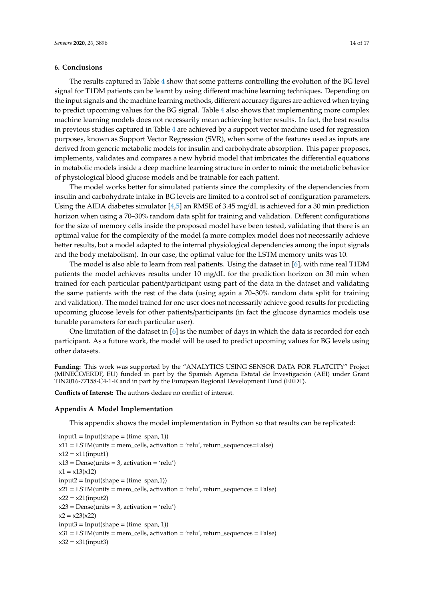# <span id="page-13-0"></span>**6. Conclusions**

The results captured in Table [4](#page-12-0) show that some patterns controlling the evolution of the BG level signal for T1DM patients can be learnt by using different machine learning techniques. Depending on the input signals and the machine learning methods, different accuracy figures are achieved when trying to predict upcoming values for the BG signal. Table [4](#page-12-0) also shows that implementing more complex machine learning models does not necessarily mean achieving better results. In fact, the best results in previous studies captured in Table [4](#page-12-0) are achieved by a support vector machine used for regression purposes, known as Support Vector Regression (SVR), when some of the features used as inputs are derived from generic metabolic models for insulin and carbohydrate absorption. This paper proposes, implements, validates and compares a new hybrid model that imbricates the differential equations in metabolic models inside a deep machine learning structure in order to mimic the metabolic behavior of physiological blood glucose models and be trainable for each patient.

The model works better for simulated patients since the complexity of the dependencies from insulin and carbohydrate intake in BG levels are limited to a control set of configuration parameters. Using the AIDA diabetes simulator  $[4,5]$  $[4,5]$  an RMSE of 3.45 mg/dL is achieved for a 30 min prediction horizon when using a 70–30% random data split for training and validation. Different configurations for the size of memory cells inside the proposed model have been tested, validating that there is an optimal value for the complexity of the model (a more complex model does not necessarily achieve better results, but a model adapted to the internal physiological dependencies among the input signals and the body metabolism). In our case, the optimal value for the LSTM memory units was 10.

The model is also able to learn from real patients. Using the dataset in [\[6\]](#page-14-5), with nine real T1DM patients the model achieves results under 10 mg/dL for the prediction horizon on 30 min when trained for each particular patient/participant using part of the data in the dataset and validating the same patients with the rest of the data (using again a 70–30% random data split for training and validation). The model trained for one user does not necessarily achieve good results for predicting upcoming glucose levels for other patients/participants (in fact the glucose dynamics models use tunable parameters for each particular user).

One limitation of the dataset in [\[6\]](#page-14-5) is the number of days in which the data is recorded for each participant. As a future work, the model will be used to predict upcoming values for BG levels using other datasets.

**Funding:** This work was supported by the "ANALYTICS USING SENSOR DATA FOR FLATCITY" Project (MINECO/ERDF, EU) funded in part by the Spanish Agencia Estatal de Investigación (AEI) under Grant TIN2016-77158-C4-1-R and in part by the European Regional Development Fund (ERDF).

**Conflicts of Interest:** The authors declare no conflict of interest.

#### <span id="page-13-1"></span>**Appendix A Model Implementation**

This appendix shows the model implementation in Python so that results can be replicated:

```
input1 = Input(shape = (time_span, 1))x11 = LSTM(units = mem_cells, activation = 'relu', return_sequences=False)
x12 = x11(input1)
x13 = Dense(units = 3, activation = 'relu')x1 = x13(x12)input2 = Input(shape = (time_span,1))x21 = LSTM(units = mem_cells, activation = 'relu', return_sequences = False)
x22 = x21(input2)
x23 = Dense(units = 3, activation = 'relu')x2 = x23(x22)input3 = Input(shape = (time_span, 1))x31 = LSTM(units = mem_cells, activation = 'relu', return_sequences = False)
x32 = x31(input3)
```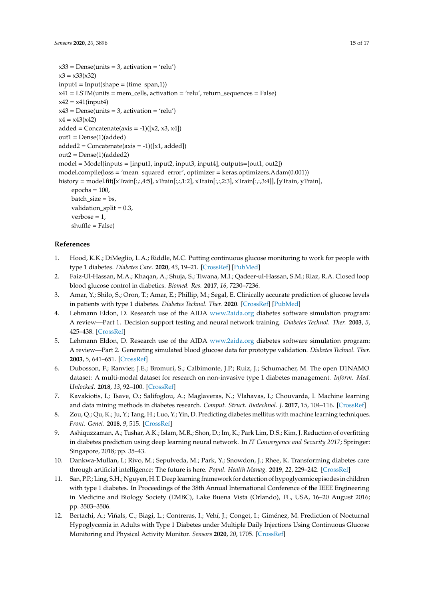```
x33 = Dense(units = 3, activation = 'relu')x3 = x33(x32)input4 = Input(shape = (time_span,1))x41 = LSTM(units = mem_cells, activation = 'relu', return_sequences = False)
x42 = x41(input4)
x43 = Dense(units = 3, activation = 'relu')x4 = x43(x42)added = Concatenate(axis = -1)([x2, x3, x4])out1 = Dense(1)(added)added2 = Concatenate(axis = -1)([x1, added])out2 = Dense(1)(added2)
model = Model(inputs = [input1, input2, input3, input4], outputs = [out1, out2])model.compile(loss = 'mean_squared_error', optimizer = keras.optimizers.Adam(0.001))
history = model.fit([xTrain[:,:,4:5], xTrain[:,:,1:2], xTrain[:,:,2:3], xTrain[:,:,3:4]], [yTrain, yTrain],
    epochs = 100,
    batch_size = bs,
    validation_split = 0.3,
    verbose = 1,
    shuffle = False)
```
# **References**

- <span id="page-14-0"></span>1. Hood, K.K.; DiMeglio, L.A.; Riddle, M.C. Putting continuous glucose monitoring to work for people with type 1 diabetes. *Diabetes Care.* **2020**, *43*, 19–21. [\[CrossRef\]](http://dx.doi.org/10.2337/dci19-0054) [\[PubMed\]](http://www.ncbi.nlm.nih.gov/pubmed/31862822)
- <span id="page-14-1"></span>2. Faiz-Ul-Hassan, M.A.; Khaqan, A.; Shuja, S.; Tiwana, M.I.; Qadeer-ul-Hassan, S.M.; Riaz, R.A. Closed loop blood glucose control in diabetics. *Biomed. Res.* **2017**, *16*, 7230–7236.
- <span id="page-14-2"></span>3. Amar, Y.; Shilo, S.; Oron, T.; Amar, E.; Phillip, M.; Segal, E. Clinically accurate prediction of glucose levels in patients with type 1 diabetes. *Diabetes Technol. Ther.* **2020**. [\[CrossRef\]](http://dx.doi.org/10.1089/dia.2019.0435) [\[PubMed\]](http://www.ncbi.nlm.nih.gov/pubmed/31928415)
- <span id="page-14-3"></span>4. Lehmann Eldon, D. Research use of the AIDA <www.2aida.org> diabetes software simulation program: A review—Part 1. Decision support testing and neural network training. *Diabetes Technol. Ther.* **2003**, *5*, 425–438. [\[CrossRef\]](http://dx.doi.org/10.1089/152091503765691938)
- <span id="page-14-4"></span>5. Lehmann Eldon, D. Research use of the AIDA <www.2aida.org> diabetes software simulation program: A review—Part 2. Generating simulated blood glucose data for prototype validation. *Diabetes Technol. Ther.* **2003**, *5*, 641–651. [\[CrossRef\]](http://dx.doi.org/10.1089/152091503322250668)
- <span id="page-14-5"></span>6. Dubosson, F.; Ranvier, J.E.; Bromuri, S.; Calbimonte, J.P.; Ruiz, J.; Schumacher, M. The open D1NAMO dataset: A multi-modal dataset for research on non-invasive type 1 diabetes management. *Inform. Med. Unlocked.* **2018**, *13*, 92–100. [\[CrossRef\]](http://dx.doi.org/10.1016/j.imu.2018.09.003)
- <span id="page-14-6"></span>7. Kavakiotis, I.; Tsave, O.; Salifoglou, A.; Maglaveras, N.; Vlahavas, I.; Chouvarda, I. Machine learning and data mining methods in diabetes research. *Comput. Struct. Biotechnol. J.* **2017**, *15*, 104–116. [\[CrossRef\]](http://dx.doi.org/10.1016/j.csbj.2016.12.005)
- <span id="page-14-7"></span>8. Zou, Q.; Qu, K.; Ju, Y.; Tang, H.; Luo, Y.; Yin, D. Predicting diabetes mellitus with machine learning techniques. *Front. Genet.* **2018**, *9*, 515. [\[CrossRef\]](http://dx.doi.org/10.3389/fgene.2018.00515)
- <span id="page-14-8"></span>9. Ashiquzzaman, A.; Tushar, A.K.; Islam, M.R.; Shon, D.; Im, K.; Park Lim, D.S.; Kim, J. Reduction of overfitting in diabetes prediction using deep learning neural network. In *IT Convergence and Security 2017*; Springer: Singapore, 2018; pp. 35–43.
- <span id="page-14-9"></span>10. Dankwa-Mullan, I.; Rivo, M.; Sepulveda, M.; Park, Y.; Snowdon, J.; Rhee, K. Transforming diabetes care through artificial intelligence: The future is here. *Popul. Health Manag.* **2019**, *22*, 229–242. [\[CrossRef\]](http://dx.doi.org/10.1089/pop.2018.0129)
- <span id="page-14-10"></span>11. San, P.P.; Ling, S.H.; Nguyen, H.T. Deep learning framework for detection of hypoglycemic episodes in children with type 1 diabetes. In Proceedings of the 38th Annual International Conference of the IEEE Engineering in Medicine and Biology Society (EMBC), Lake Buena Vista (Orlando), FL, USA, 16–20 August 2016; pp. 3503–3506.
- <span id="page-14-11"></span>12. Bertachi, A.; Viñals, C.; Biagi, L.; Contreras, I.; Vehí, J.; Conget, I.; Giménez, M. Prediction of Nocturnal Hypoglycemia in Adults with Type 1 Diabetes under Multiple Daily Injections Using Continuous Glucose Monitoring and Physical Activity Monitor. *Sensors* **2020**, *20*, 1705. [\[CrossRef\]](http://dx.doi.org/10.3390/s20061705)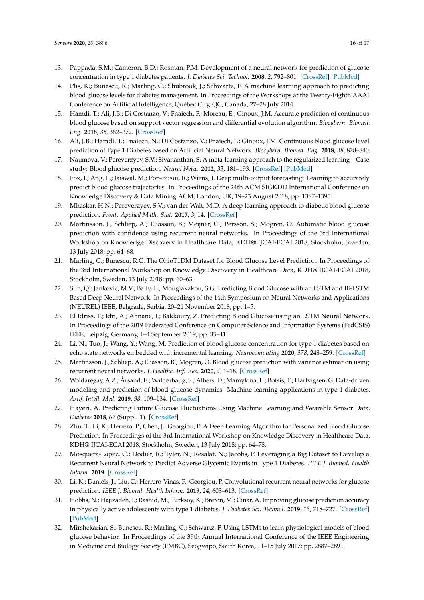- <span id="page-15-0"></span>13. Pappada, S.M.; Cameron, B.D.; Rosman, P.M. Development of a neural network for prediction of glucose concentration in type 1 diabetes patients. *J. Diabetes Sci. Technol.* **2008**, *2*, 792–801. [\[CrossRef\]](http://dx.doi.org/10.1177/193229680800200507) [\[PubMed\]](http://www.ncbi.nlm.nih.gov/pubmed/19885262)
- <span id="page-15-1"></span>14. Plis, K.; Bunescu, R.; Marling, C.; Shubrook, J.; Schwartz, F. A machine learning approach to predicting blood glucose levels for diabetes management. In Proceedings of the Workshops at the Twenty-Eighth AAAI Conference on Artificial Intelligence, Québec City, QC, Canada, 27–28 July 2014.
- <span id="page-15-2"></span>15. Hamdi, T.; Ali, J.B.; Di Costanzo, V.; Fnaiech, F.; Moreau, E.; Ginoux, J.M. Accurate prediction of continuous blood glucose based on support vector regression and differential evolution algorithm. *Biocybern. Biomed. Eng.* **2018**, *38*, 362–372. [\[CrossRef\]](http://dx.doi.org/10.1016/j.bbe.2018.02.005)
- <span id="page-15-3"></span>16. Ali, J.B.; Hamdi, T.; Fnaiech, N.; Di Costanzo, V.; Fnaiech, F.; Ginoux, J.M. Continuous blood glucose level prediction of Type 1 Diabetes based on Artificial Neural Network. *Biocybern. Biomed. Eng.* **2018**, *38*, 828–840.
- <span id="page-15-4"></span>17. Naumova, V.; Pereverzyev, S.V.; Sivananthan, S. A meta-learning approach to the regularized learning—Case study: Blood glucose prediction. *Neural Netw.* **2012**, *33*, 181–193. [\[CrossRef\]](http://dx.doi.org/10.1016/j.neunet.2012.05.004) [\[PubMed\]](http://www.ncbi.nlm.nih.gov/pubmed/22706092)
- <span id="page-15-5"></span>18. Fox, I.; Ang, L.; Jaiswal, M.; Pop-Busui, R.; Wiens, J. Deep multi-output forecasting: Learning to accurately predict blood glucose trajectories. In Proceedings of the 24th ACM SIGKDD International Conference on Knowledge Discovery & Data Mining ACM, London, UK, 19–23 August 2018; pp. 1387–1395.
- <span id="page-15-6"></span>19. Mhaskar, H.N.; Pereverzyev, S.V.; van der Walt, M.D. A deep learning approach to diabetic blood glucose prediction. *Front. Applied Math. Stat.* **2017**, *3*, 14. [\[CrossRef\]](http://dx.doi.org/10.3389/fams.2017.00014)
- <span id="page-15-7"></span>20. Martinsson, J.; Schliep, A.; Eliasson, B.; Meijner, C.; Persson, S.; Mogren, O. Automatic blood glucose prediction with confidence using recurrent neural networks. In Proceedings of the 3rd International Workshop on Knowledge Discovery in Healthcare Data, KDH@ IJCAI-ECAI 2018, Stockholm, Sweden, 13 July 2018; pp. 64–68.
- <span id="page-15-8"></span>21. Marling, C.; Bunescu, R.C. The OhioT1DM Dataset for Blood Glucose Level Prediction. In Proceedings of the 3rd International Workshop on Knowledge Discovery in Healthcare Data, KDH@ IJCAI-ECAI 2018, Stockholm, Sweden, 13 July 2018; pp. 60–63.
- <span id="page-15-9"></span>22. Sun, Q.; Jankovic, M.V.; Bally, L.; Mougiakakou, S.G. Predicting Blood Glucose with an LSTM and Bi-LSTM Based Deep Neural Network. In Proceedings of the 14th Symposium on Neural Networks and Applications (NEUREL) IEEE, Belgrade, Serbia, 20–21 November 2018; pp. 1–5.
- <span id="page-15-10"></span>23. El Idriss, T.; Idri, A.; Abnane, I.; Bakkoury, Z. Predicting Blood Glucose using an LSTM Neural Network. In Proceedings of the 2019 Federated Conference on Computer Science and Information Systems (FedCSIS) IEEE, Leipzig, Germany, 1–4 September 2019; pp. 35–41.
- <span id="page-15-11"></span>24. Li, N.; Tuo, J.; Wang, Y.; Wang, M. Prediction of blood glucose concentration for type 1 diabetes based on echo state networks embedded with incremental learning. *Neurocomputing* **2020**, *378*, 248–259. [\[CrossRef\]](http://dx.doi.org/10.1016/j.neucom.2019.10.003)
- <span id="page-15-12"></span>25. Martinsson, J.; Schliep, A.; Eliasson, B.; Mogren, O. Blood glucose prediction with variance estimation using recurrent neural networks. *J. Healthc. Inf. Res.* **2020**, *4*, 1–18. [\[CrossRef\]](http://dx.doi.org/10.1007/s41666-019-00059-y)
- <span id="page-15-13"></span>26. Woldaregay, A.Z.; Årsand, E.; Walderhaug, S.; Albers, D.; Mamykina, L.; Botsis, T.; Hartvigsen, G. Data-driven modeling and prediction of blood glucose dynamics: Machine learning applications in type 1 diabetes. *Artif. Intell. Med.* **2019**, *98*, 109–134. [\[CrossRef\]](http://dx.doi.org/10.1016/j.artmed.2019.07.007)
- <span id="page-15-14"></span>27. Hayeri, A. Predicting Future Glucose Fluctuations Using Machine Learning and Wearable Sensor Data. *Diabetes* **2018**, *67* (Suppl. 1). [\[CrossRef\]](http://dx.doi.org/10.2337/db18-738-P)
- <span id="page-15-15"></span>28. Zhu, T.; Li, K.; Herrero, P.; Chen, J.; Georgiou, P. A Deep Learning Algorithm for Personalized Blood Glucose Prediction. In Proceedings of the 3rd International Workshop on Knowledge Discovery in Healthcare Data, KDH@ IJCAI-ECAI 2018, Stockholm, Sweden, 13 July 2018; pp. 64–78.
- <span id="page-15-16"></span>29. Mosquera-Lopez, C.; Dodier, R.; Tyler, N.; Resalat, N.; Jacobs, P. Leveraging a Big Dataset to Develop a Recurrent Neural Network to Predict Adverse Glycemic Events in Type 1 Diabetes. *IEEE J. Biomed. Health Inform.* **2019**. [\[CrossRef\]](http://dx.doi.org/10.1109/JBHI.2019.2911701)
- <span id="page-15-17"></span>30. Li, K.; Daniels, J.; Liu, C.; Herrero-Vinas, P.; Georgiou, P. Convolutional recurrent neural networks for glucose prediction. *IEEE J. Biomed. Health Inform.* **2019**, *24*, 603–613. [\[CrossRef\]](http://dx.doi.org/10.1109/JBHI.2019.2908488)
- <span id="page-15-18"></span>31. Hobbs, N.; Hajizadeh, I.; Rashid, M.; Turksoy, K.; Breton, M.; Cinar, A. Improving glucose prediction accuracy in physically active adolescents with type 1 diabetes. *J. Diabetes Sci. Technol.* **2019**, *13*, 718–727. [\[CrossRef\]](http://dx.doi.org/10.1177/1932296818820550) [\[PubMed\]](http://www.ncbi.nlm.nih.gov/pubmed/30654648)
- <span id="page-15-19"></span>32. Mirshekarian, S.; Bunescu, R.; Marling, C.; Schwartz, F. Using LSTMs to learn physiological models of blood glucose behavior. In Proceedings of the 39th Annual International Conference of the IEEE Engineering in Medicine and Biology Society (EMBC), Seogwipo, South Korea, 11–15 July 2017; pp. 2887–2891.